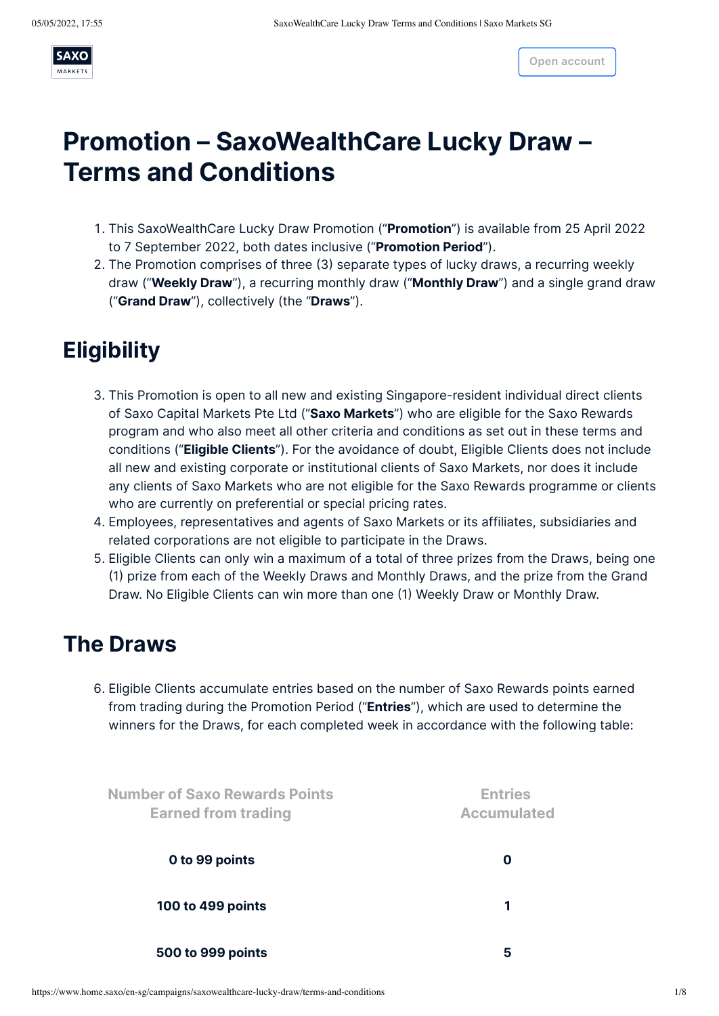

# **Promotion – SaxoWealthCare Lucky Draw – Terms and Conditions**

- 1. This SaxoWealthCare Lucky Draw Promotion ("**Promotion**") is available from 25 April 2022 to 7 September 2022, both dates inclusive ("**Promotion Period**").
- 2. The Promotion comprises of three (3) separate types of lucky draws, a recurring weekly draw ("**Weekly Draw**"), a recurring monthly draw ("**Monthly Draw**") and a single grand draw ("**Grand Draw**"), collectively (the "**Draws**").

## **Eligibility**

- 3. This Promotion is open to all new and existing Singapore-resident individual direct clients of Saxo Capital Markets Pte Ltd ("**Saxo Markets**") who are eligible for the Saxo Rewards program and who also meet all other criteria and conditions as set out in these terms and conditions ("**Eligible Clients**"). For the avoidance of doubt, Eligible Clients does not include all new and existing corporate or institutional clients of Saxo Markets, nor does it include any clients of Saxo Markets who are not eligible for the Saxo Rewards programme or clients who are currently on preferential or special pricing rates.
- 4. Employees, representatives and agents of Saxo Markets or its affiliates, subsidiaries and related corporations are not eligible to participate in the Draws.
- 5. Eligible Clients can only win a maximum of a total of three prizes from the Draws, being one (1) prize from each of the Weekly Draws and Monthly Draws, and the prize from the Grand Draw. No Eligible Clients can win more than one (1) Weekly Draw or Monthly Draw.

### **The Draws**

6. Eligible Clients accumulate entries based on the number of Saxo Rewards points earned from trading during the Promotion Period ("**Entries**"), which are used to determine the winners for the Draws, for each completed week in accordance with the following table:

| <b>Number of Saxo Rewards Points</b><br><b>Earned from trading</b><br>0 to 99 points | <b>Entries</b><br><b>Accumulated</b><br>O |
|--------------------------------------------------------------------------------------|-------------------------------------------|
|                                                                                      |                                           |
| 500 to 999 points                                                                    | 5                                         |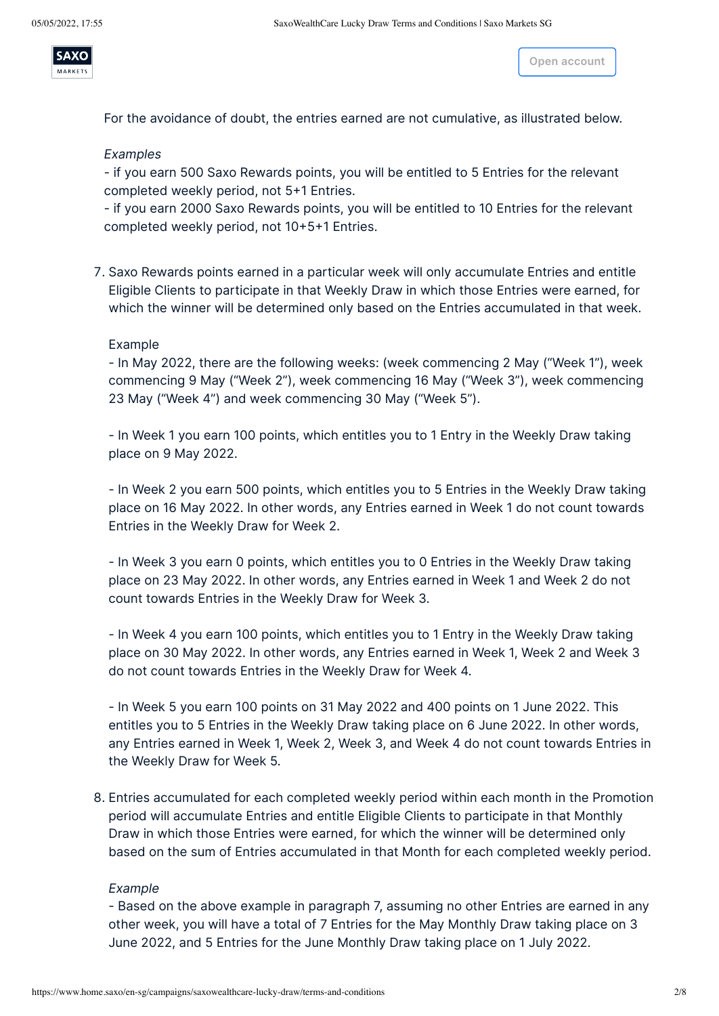

For the avoidance of doubt, the entries earned are not cumulative, as illustrated below.

#### *Examples*

- if you earn 500 Saxo Rewards points, you will be entitled to 5 Entries for the relevant completed weekly period, not 5+1 Entries.

- if you earn 2000 Saxo Rewards points, you will be entitled to 10 Entries for the relevant completed weekly period, not 10+5+1 Entries.

7. Saxo Rewards points earned in a particular week will only accumulate Entries and entitle Eligible Clients to participate in that Weekly Draw in which those Entries were earned, for which the winner will be determined only based on the Entries accumulated in that week.

#### Example

- In May 2022, there are the following weeks: (week commencing 2 May ("Week 1"), week commencing 9 May ("Week 2"), week commencing 16 May ("Week 3"), week commencing 23 May ("Week 4") and week commencing 30 May ("Week 5").

- In Week 1 you earn 100 points, which entitles you to 1 Entry in the Weekly Draw taking place on 9 May 2022.

- In Week 2 you earn 500 points, which entitles you to 5 Entries in the Weekly Draw taking place on 16 May 2022. In other words, any Entries earned in Week 1 do not count towards Entries in the Weekly Draw for Week 2.

- In Week 3 you earn 0 points, which entitles you to 0 Entries in the Weekly Draw taking place on 23 May 2022. In other words, any Entries earned in Week 1 and Week 2 do not count towards Entries in the Weekly Draw for Week 3.

- In Week 4 you earn 100 points, which entitles you to 1 Entry in the Weekly Draw taking place on 30 May 2022. In other words, any Entries earned in Week 1, Week 2 and Week 3 do not count towards Entries in the Weekly Draw for Week 4.

- In Week 5 you earn 100 points on 31 May 2022 and 400 points on 1 June 2022. This entitles you to 5 Entries in the Weekly Draw taking place on 6 June 2022. In other words, any Entries earned in Week 1, Week 2, Week 3, and Week 4 do not count towards Entries in the Weekly Draw for Week 5.

8. Entries accumulated for each completed weekly period within each month in the Promotion period will accumulate Entries and entitle Eligible Clients to participate in that Monthly Draw in which those Entries were earned, for which the winner will be determined only based on the sum of Entries accumulated in that Month for each completed weekly period.

#### *Example*

- Based on the above example in paragraph 7, assuming no other Entries are earned in any other week, you will have a total of 7 Entries for the May Monthly Draw taking place on 3 June 2022, and 5 Entries for the June Monthly Draw taking place on 1 July 2022.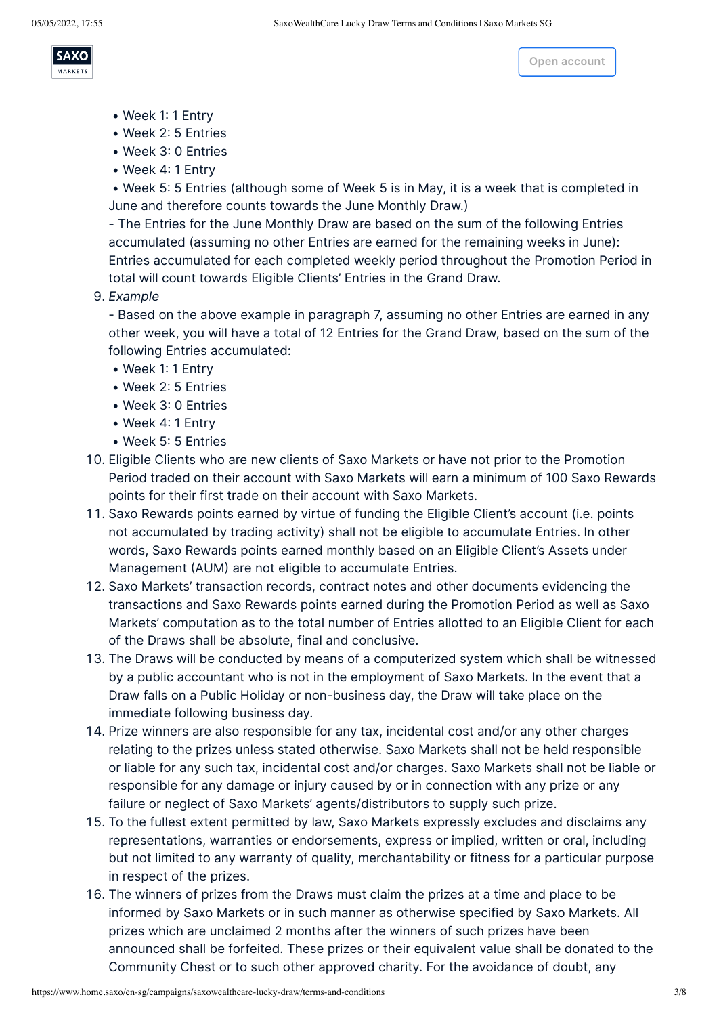

accumulated towards the May Monthly Dra[w because it is not](https://www.home.saxo/en-sg/accounts/openaccount) a second the May Monthly Draw because it is not a second towards the May Monthly Draw because it is not a second towards the May Monthly Draw because it is not a s

- Week 1: 1 Entry
- Week 2: 5 Entries
- Week 3: 0 Entries
- Week 4: 1 Entry

 • Week 5: 5 Entries (although some of Week 5 is in May, it is a week that is completed in June and therefore counts towards the June Monthly Draw.)

- The Entries for the May Monthly Draw are based on the sum of the following Entries

- The Entries for the June Monthly Draw are based on the sum of the following Entries accumulated (assuming no other Entries are earned for the remaining weeks in June): Entries accumulated for each completed weekly period throughout the Promotion Period in total will count towards Eligible Clients' Entries in the Grand Draw.

9. *Example*

- Based on the above example in paragraph 7, assuming no other Entries are earned in any other week, you will have a total of 12 Entries for the Grand Draw, based on the sum of the following Entries accumulated:

- Week 1: 1 Entry
- Week 2: 5 Entries
- Week 3: 0 Entries
- Week 4: 1 Entry
- Week 5: 5 Entries
- 10. Eligible Clients who are new clients of Saxo Markets or have not prior to the Promotion Period traded on their account with Saxo Markets will earn a minimum of 100 Saxo Rewards points for their first trade on their account with Saxo Markets.
- 11. Saxo Rewards points earned by virtue of funding the Eligible Client's account (i.e. points not accumulated by trading activity) shall not be eligible to accumulate Entries. In other words, Saxo Rewards points earned monthly based on an Eligible Client's Assets under Management (AUM) are not eligible to accumulate Entries.
- 12. Saxo Markets' transaction records, contract notes and other documents evidencing the transactions and Saxo Rewards points earned during the Promotion Period as well as Saxo Markets' computation as to the total number of Entries allotted to an Eligible Client for each of the Draws shall be absolute, final and conclusive.
- 13. The Draws will be conducted by means of a computerized system which shall be witnessed by a public accountant who is not in the employment of Saxo Markets. In the event that a Draw falls on a Public Holiday or non-business day, the Draw will take place on the immediate following business day.
- 14. Prize winners are also responsible for any tax, incidental cost and/or any other charges relating to the prizes unless stated otherwise. Saxo Markets shall not be held responsible or liable for any such tax, incidental cost and/or charges. Saxo Markets shall not be liable or responsible for any damage or injury caused by or in connection with any prize or any failure or neglect of Saxo Markets' agents/distributors to supply such prize.
- 15. To the fullest extent permitted by law, Saxo Markets expressly excludes and disclaims any representations, warranties or endorsements, express or implied, written or oral, including but not limited to any warranty of quality, merchantability or fitness for a particular purpose in respect of the prizes.
- 16. The winners of prizes from the Draws must claim the prizes at a time and place to be informed by Saxo Markets or in such manner as otherwise specified by Saxo Markets. All prizes which are unclaimed 2 months after the winners of such prizes have been announced shall be forfeited. These prizes or their equivalent value shall be donated to the Community Chest or to such other approved charity. For the avoidance of doubt, any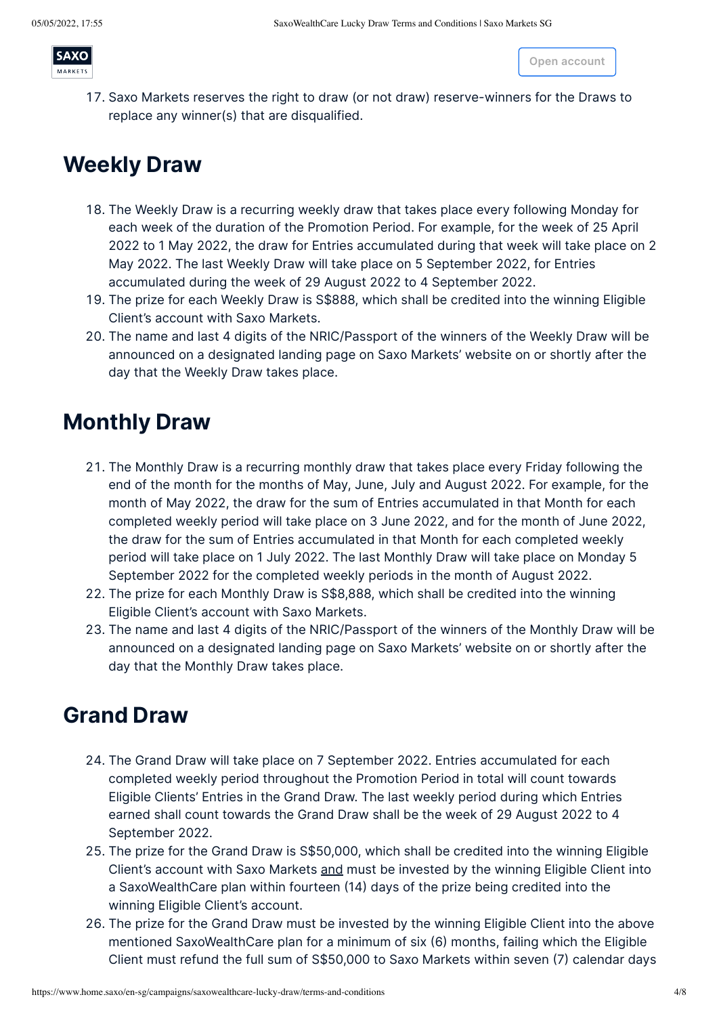

competitive under any circumstances, including but n[ot limited](https://www.home.saxo/en-sg/accounts/openaccount) to such a proper **account** 

17. Saxo Markets reserves the right to draw (or not draw) reserve-winners for the Draws to replace any winner(s) that are disqualified.

winners of the Draws whose prizes have been forfeited are not entitled to any not entitled to any not entitled

### **Weekly Draw**

- 18. The Weekly Draw is a recurring weekly draw that takes place every following Monday for each week of the duration of the Promotion Period. For example, for the week of 25 April 2022 to 1 May 2022, the draw for Entries accumulated during that week will take place on 2 May 2022. The last Weekly Draw will take place on 5 September 2022, for Entries accumulated during the week of 29 August 2022 to 4 September 2022.
- 19. The prize for each Weekly Draw is S\$888, which shall be credited into the winning Eligible Client's account with Saxo Markets.
- 20. The name and last 4 digits of the NRIC/Passport of the winners of the Weekly Draw will be announced on a designated landing page on Saxo Markets' website on or shortly after the day that the Weekly Draw takes place.

### **Monthly Draw**

- 21. The Monthly Draw is a recurring monthly draw that takes place every Friday following the end of the month for the months of May, June, July and August 2022. For example, for the month of May 2022, the draw for the sum of Entries accumulated in that Month for each completed weekly period will take place on 3 June 2022, and for the month of June 2022, the draw for the sum of Entries accumulated in that Month for each completed weekly period will take place on 1 July 2022. The last Monthly Draw will take place on Monday 5 September 2022 for the completed weekly periods in the month of August 2022.
- 22. The prize for each Monthly Draw is S\$8,888, which shall be credited into the winning Eligible Client's account with Saxo Markets.
- 23. The name and last 4 digits of the NRIC/Passport of the winners of the Monthly Draw will be announced on a designated landing page on Saxo Markets' website on or shortly after the day that the Monthly Draw takes place.

### **Grand Draw**

- 24. The Grand Draw will take place on 7 September 2022. Entries accumulated for each completed weekly period throughout the Promotion Period in total will count towards Eligible Clients' Entries in the Grand Draw. The last weekly period during which Entries earned shall count towards the Grand Draw shall be the week of 29 August 2022 to 4 September 2022.
- 25. The prize for the Grand Draw is S\$50,000, which shall be credited into the winning Eligible Client's account with Saxo Markets and must be invested by the winning Eligible Client into a SaxoWealthCare plan within fourteen (14) days of the prize being credited into the winning Eligible Client's account.
- 26. The prize for the Grand Draw must be invested by the winning Eligible Client into the above mentioned SaxoWealthCare plan for a minimum of six (6) months, failing which the Eligible Client must refund the full sum of S\$50,000 to Saxo Markets within seven (7) calendar days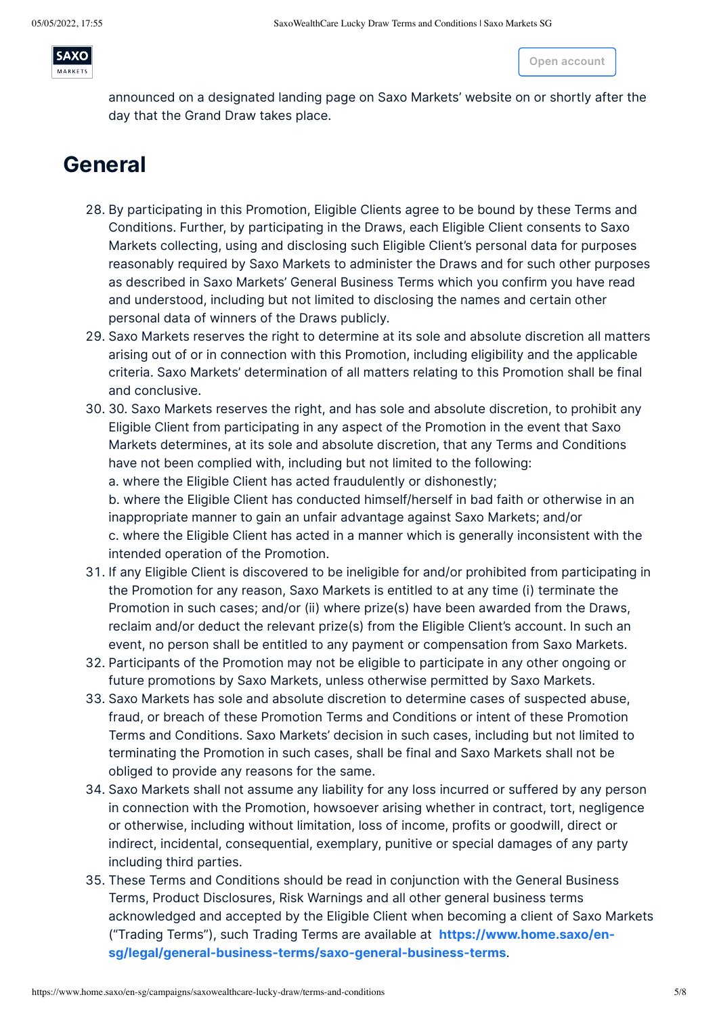

announced on a designated landing page on Saxo Markets' website on or shortly after the day that the Grand Draw takes place.

of such termination or withdrawal of the whole or a part of the prize from the

### **General**

- 28. By participating in this Promotion, Eligible Clients agree to be bound by these Terms and Conditions. Further, by participating in the Draws, each Eligible Client consents to Saxo Markets collecting, using and disclosing such Eligible Client's personal data for purposes reasonably required by Saxo Markets to administer the Draws and for such other purposes as described in Saxo Markets' General Business Terms which you confirm you have read and understood, including but not limited to disclosing the names and certain other personal data of winners of the Draws publicly.
- 29. Saxo Markets reserves the right to determine at its sole and absolute discretion all matters arising out of or in connection with this Promotion, including eligibility and the applicable criteria. Saxo Markets' determination of all matters relating to this Promotion shall be final and conclusive.
- 30. 30. Saxo Markets reserves the right, and has sole and absolute discretion, to prohibit any Eligible Client from participating in any aspect of the Promotion in the event that Saxo Markets determines, at its sole and absolute discretion, that any Terms and Conditions have not been complied with, including but not limited to the following: a. where the Eligible Client has acted fraudulently or dishonestly;

b. where the Eligible Client has conducted himself/herself in bad faith or otherwise in an inappropriate manner to gain an unfair advantage against Saxo Markets; and/or c. where the Eligible Client has acted in a manner which is generally inconsistent with the intended operation of the Promotion.

- 31. If any Eligible Client is discovered to be ineligible for and/or prohibited from participating in the Promotion for any reason, Saxo Markets is entitled to at any time (i) terminate the Promotion in such cases; and/or (ii) where prize(s) have been awarded from the Draws, reclaim and/or deduct the relevant prize(s) from the Eligible Client's account. In such an event, no person shall be entitled to any payment or compensation from Saxo Markets.
- 32. Participants of the Promotion may not be eligible to participate in any other ongoing or future promotions by Saxo Markets, unless otherwise permitted by Saxo Markets.
- 33. Saxo Markets has sole and absolute discretion to determine cases of suspected abuse, fraud, or breach of these Promotion Terms and Conditions or intent of these Promotion Terms and Conditions. Saxo Markets' decision in such cases, including but not limited to terminating the Promotion in such cases, shall be final and Saxo Markets shall not be obliged to provide any reasons for the same.
- 34. Saxo Markets shall not assume any liability for any loss incurred or suffered by any person in connection with the Promotion, howsoever arising whether in contract, tort, negligence or otherwise, including without limitation, loss of income, profits or goodwill, direct or indirect, incidental, consequential, exemplary, punitive or special damages of any party including third parties.
- 35. These Terms and Conditions should be read in conjunction with the General Business Terms, Product Disclosures, Risk Warnings and all other general business terms acknowledged and accepted by the Eligible Client when becoming a client of Saxo Markets ("Trading Terms"), such Trading Terms are available at **https://www.home.saxo/en[sg/legal/general-business-terms/saxo-general-business-terms](https://www.home.saxo/en-sg/legal/general-business-terms/saxo-general-business-terms)**.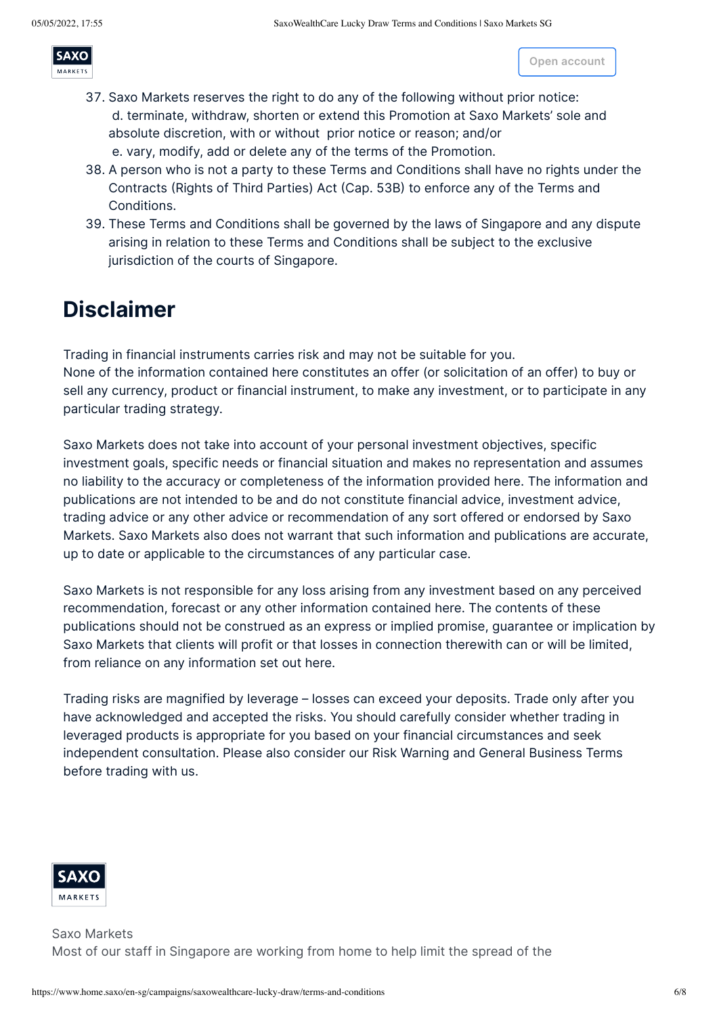MARKETS

marketing or promotional material relating to the Promotion, these T[erms and](https://www.home.saxo/en-sg/accounts/openaccount) Conditions **Open account**

- 37. Saxo Markets reserves the right to do any of the following without prior notice: d. terminate, withdraw, shorten or extend this Promotion at Saxo Markets' sole and absolute discretion, with or without prior notice or reason; and/or e. vary, modify, add or delete any of the terms of the Promotion.
- 38. A person who is not a party to these Terms and Conditions shall have no rights under the Contracts (Rights of Third Parties) Act (Cap. 53B) to enforce any of the Terms and Conditions.

[3](https://www.home.saxo/en-sg/)6. In the event of any inconsistency between these Terms and Conditions and any brochure,

39. These Terms and Conditions shall be governed by the laws of Singapore and any dispute arising in relation to these Terms and Conditions shall be subject to the exclusive jurisdiction of the courts of Singapore.

# **Disclaimer**

Trading in financial instruments carries risk and may not be suitable for you. None of the information contained here constitutes an offer (or solicitation of an offer) to buy or sell any currency, product or financial instrument, to make any investment, or to participate in any particular trading strategy.

Saxo Markets does not take into account of your personal investment objectives, specific investment goals, specific needs or financial situation and makes no representation and assumes no liability to the accuracy or completeness of the information provided here. The information and publications are not intended to be and do not constitute financial advice, investment advice, trading advice or any other advice or recommendation of any sort offered or endorsed by Saxo Markets. Saxo Markets also does not warrant that such information and publications are accurate, up to date or applicable to the circumstances of any particular case.

Saxo Markets is not responsible for any loss arising from any investment based on any perceived recommendation, forecast or any other information contained here. The contents of these publications should not be construed as an express or implied promise, guarantee or implication by Saxo Markets that clients will profit or that losses in connection therewith can or will be limited, from reliance on any information set out here.

Trading risks are magnified by leverage – losses can exceed your deposits. Trade only after you have acknowledged and accepted the risks. You should carefully consider whether trading in leveraged products is appropriate for you based on your financial circumstances and seek independent consultation. Please also consider our Risk Warning and General Business Terms before trading with us.



Saxo Markets Most of our staff in Singapore are working from home to help limit the spread of the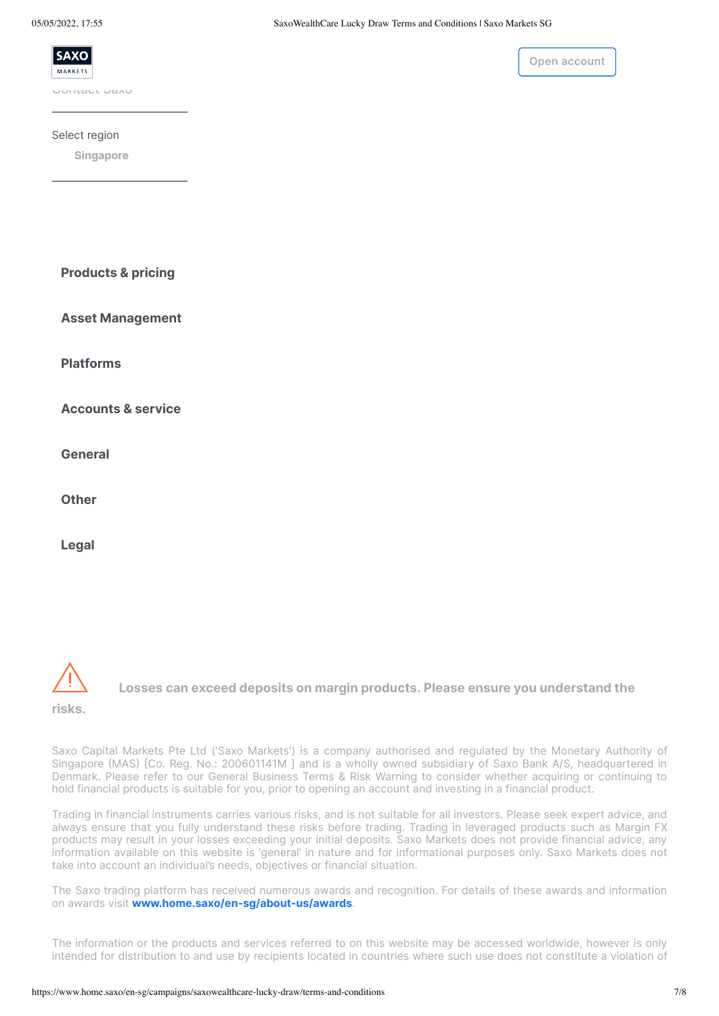

Select region

**[Singapore](https://www.home.saxo/en-sg/campaigns/saxowealthcare-lucky-draw/terms-and-conditions)**

**Products & pricing**

**Asset Management**

**Platforms**

**Accounts & service**

**General**

**Other**

**Legal**



**Losses can exceed deposits on margin products. Please ensure you understand the**

**risks.**

Saxo Capital Markets Pte Ltd ('Saxo Markets') is a company authorised and regulated by the Monetary Authority of Singapore (MAS) [Co. Reg. No.: 200601141M ] and is a wholly owned subsidiary of Saxo Bank A/S, headquartered in Denmark. Please refer to our General Business Terms & Risk Warning to consider whether acquiring or continuing to hold financial products is suitable for you, prior to opening an account and investing in a financial product.

Trading in financial instruments carries various risks, and is not suitable for all investors. Please seek expert advice, and always ensure that you fully understand these risks before trading. Trading in leveraged products such as Margin FX products may result in your losses exceeding your initial deposits. Saxo Markets does not provide financial advice, any information available on this website is 'general' in nature and for informational purposes only. Saxo Markets does not take into account an individual's needs, objectives or financial situation.

The Saxo trading platform has received numerous awards and recognition. For details of these awards and information on awards visit **[www.home.saxo/en-sg/about-us/awards](http://www.home.saxo/en-sg/about-us/awards)**.

The information or the products and services referred to on this website may be accessed worldwide, however is only intended for distribution to and use by recipients located in countries where such use does not constitute a violation of